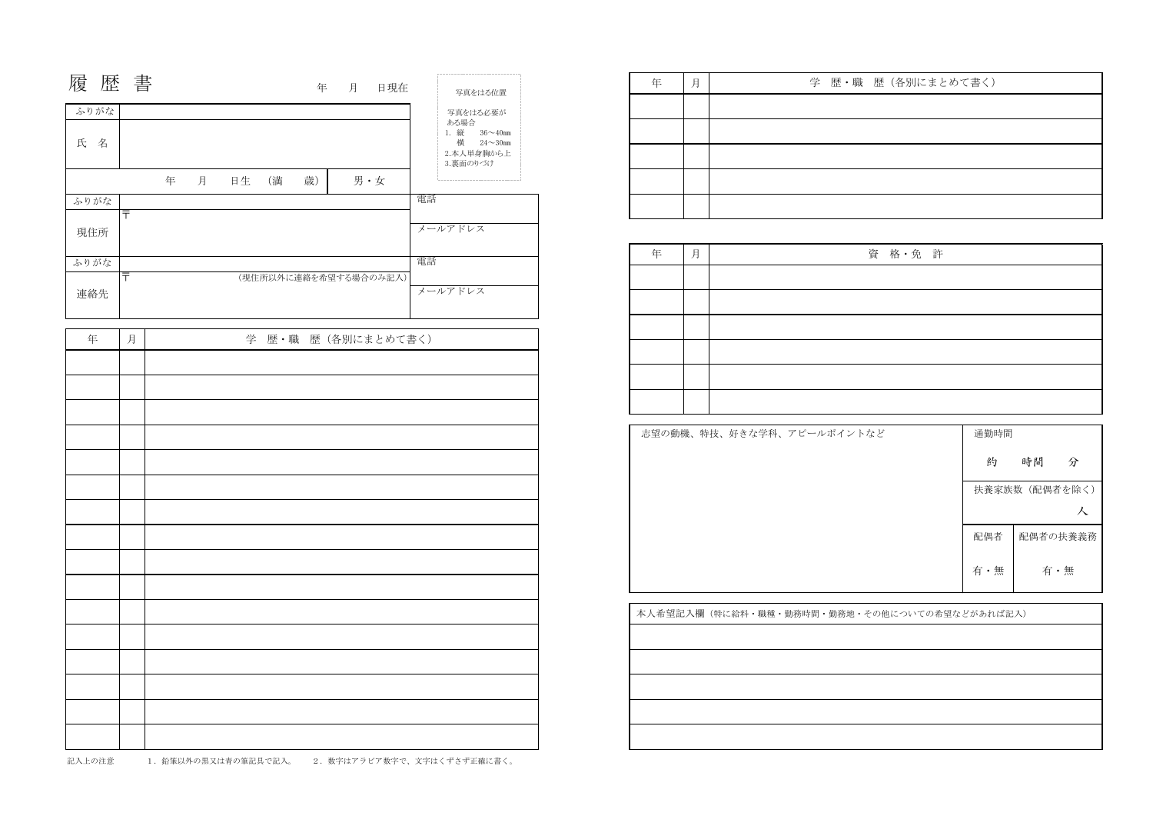| 年 | 月 | 学 歴 • 職 ! |
|---|---|-----------|
|   |   |           |
|   |   |           |
|   |   |           |
|   |   |           |
|   |   |           |

| 通勤時間 |                |
|------|----------------|
| 約    | 時間<br>分        |
|      | 扶養家族数 (配偶者を除く) |
|      |                |
| 配偶者  | 配偶者の扶養義務       |
| 有·無  | 有·無            |
|      |                |

志望の動機、特技、好きな学科、アピールポイントな。

| 履歴書    |                   |   |   |       |    | 年 月 日現在               | 写真をはる位置                                                                |
|--------|-------------------|---|---|-------|----|-----------------------|------------------------------------------------------------------------|
| ふりがな   |                   |   |   |       |    |                       | 写真をはる必要が                                                               |
| 氏<br>名 |                   |   |   |       |    |                       | ある場合<br>1. 縦 36~40mm<br>横<br>$24 \sim 30$ mm<br>2.本人単身胸から上<br>3.裏面のりづけ |
|        |                   | 年 | 月 | 日生 (満 | 歳) | 男·女                   |                                                                        |
| ふりがな   |                   |   |   |       |    |                       | 電話                                                                     |
| 現住所    | $\overline{\top}$ |   |   |       |    |                       | メールアドレス                                                                |
| ふりがな   |                   |   |   |       |    |                       | 電話                                                                     |
| 連絡先    | 〒                 |   |   |       |    | (現住所以外に連絡を希望する場合のみ記入) | メールアドレス                                                                |
| 年      | 月                 |   |   |       |    | 学 歴·職 歴 (各別にまとめて書く)   |                                                                        |
|        |                   |   |   |       |    |                       |                                                                        |
|        |                   |   |   |       |    |                       |                                                                        |
|        |                   |   |   |       |    |                       |                                                                        |
|        |                   |   |   |       |    |                       |                                                                        |
|        |                   |   |   |       |    |                       |                                                                        |
|        |                   |   |   |       |    |                       |                                                                        |
|        |                   |   |   |       |    |                       |                                                                        |
|        |                   |   |   |       |    |                       |                                                                        |
|        |                   |   |   |       |    |                       |                                                                        |
|        |                   |   |   |       |    |                       |                                                                        |
|        |                   |   |   |       |    |                       |                                                                        |
|        |                   |   |   |       |    |                       |                                                                        |
|        |                   |   |   |       |    |                       |                                                                        |
|        |                   |   |   |       |    |                       |                                                                        |
|        |                   |   |   |       |    |                       |                                                                        |
|        |                   |   |   |       |    |                       |                                                                        |
|        |                   |   |   |       |    |                       |                                                                        |
|        |                   |   |   |       |    |                       |                                                                        |
|        |                   |   |   |       |    |                       |                                                                        |
|        |                   |   |   |       |    |                       |                                                                        |

|  | 学 歴·職 歴 (各別にまとめて書く) |  |
|--|---------------------|--|
|  |                     |  |
|  |                     |  |
|  |                     |  |
|  |                     |  |
|  |                     |  |

| 資格·免許 |  |  |  |
|-------|--|--|--|
|       |  |  |  |
|       |  |  |  |
|       |  |  |  |
|       |  |  |  |
|       |  |  |  |
|       |  |  |  |

本人希望記入欄(特に給料・職種・勤務時間・勤務地・その他についての希望などがあれば記入)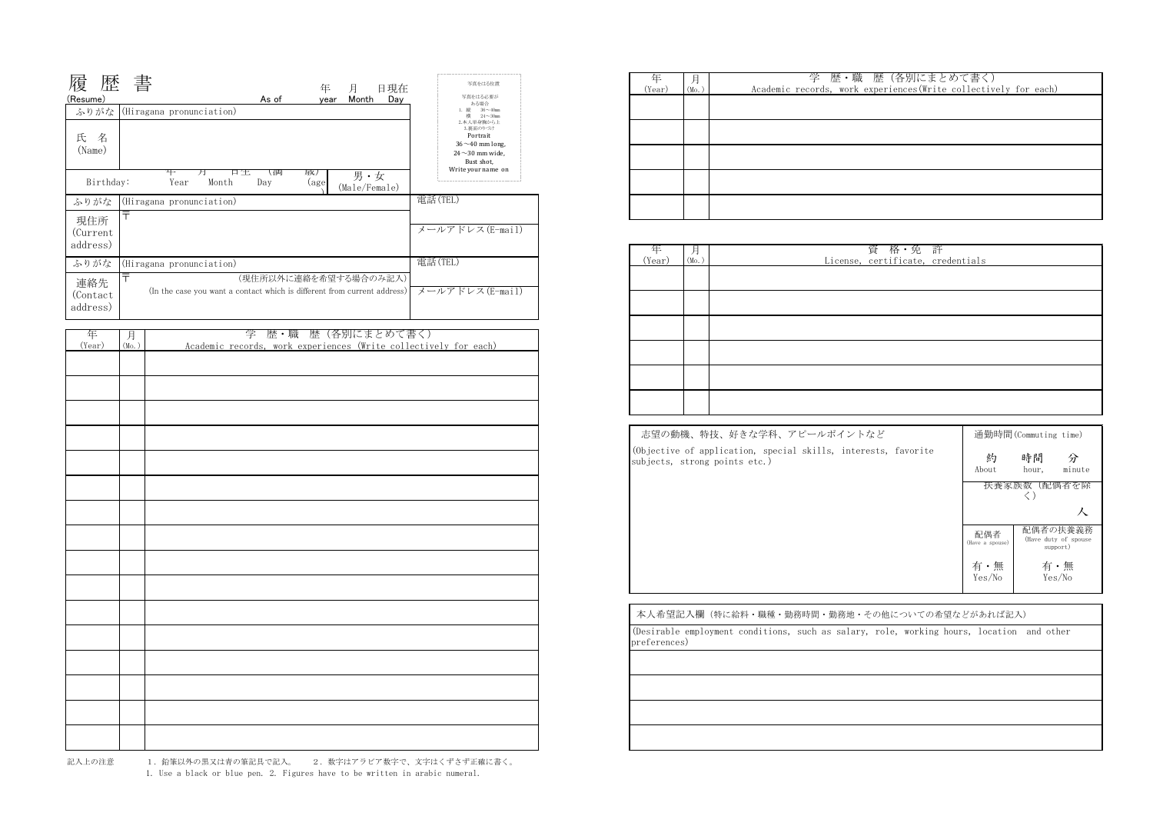| 年<br>(Year) |                   | 学歴・職                      |
|-------------|-------------------|---------------------------|
|             | (M <sub>O</sub> ) | Academic records, work ex |
|             |                   |                           |
|             |                   |                           |
|             |                   |                           |
|             |                   |                           |
|             |                   |                           |
|             |                   |                           |
|             |                   |                           |
|             |                   |                           |
|             |                   |                           |
|             |                   |                           |
|             |                   |                           |

1. Use a black or blue pen. 2. Figures have to be written in arabic numeral. 1. 鉛筆以外の黒又は青の筆記具で記入。 2. 数字はアラビア数字で、文字はくずさず正確に書く。

| 月<br>(Mo. )<br>License, | 年<br>(Year) |
|-------------------------|-------------|
|                         |             |
|                         |             |
|                         |             |
|                         |             |
|                         |             |
|                         |             |
|                         |             |
|                         |             |

| 志望の動機、特技、好きな学科、アピールポイントなど                                                                       |                        | 通勤時間(Commuting time)                          |
|-------------------------------------------------------------------------------------------------|------------------------|-----------------------------------------------|
| (Objective of application, special skills, interests, favorite<br>subjects, strong points etc.) | 約<br>About             | 時間<br>分<br>minute<br>hour,                    |
|                                                                                                 | 扶養豕族数                  | (配偶者を除                                        |
|                                                                                                 |                        |                                               |
|                                                                                                 | 配偶者<br>(Have a spouse) | 配偶者の扶養義務<br>(Have duty of spouse)<br>support) |
|                                                                                                 | 有・無<br>Yes/No          | 有・無<br>Yes/No                                 |
|                                                                                                 |                        |                                               |
| 太大希望記入欄(焼に給料・職種・勤務時間・勤務地・その他についての希望たどがあれげ記入)                                                    |                        |                                               |

| 年      | 月<br>(Mo.) | 学 歴・職 歴 (各別にまとめて書く)                                              |
|--------|------------|------------------------------------------------------------------|
| (Year) |            | Academic records, work experiences (Write collectively for each) |
|        |            |                                                                  |
|        |            |                                                                  |
|        |            |                                                                  |
|        |            |                                                                  |
|        |            |                                                                  |
|        |            |                                                                  |
|        |            |                                                                  |
|        |            |                                                                  |
|        |            |                                                                  |
|        |            |                                                                  |
|        |            |                                                                  |
|        |            |                                                                  |
|        |            |                                                                  |
|        |            |                                                                  |
|        |            |                                                                  |
|        |            |                                                                  |

| 歴<br>(Resume)<br>ふりがな        | 書<br>年<br>日現在<br>月<br>As of<br>Month<br>Day<br>vear<br>(Hiragana pronunciation)                                        | 写真をはる位置<br>写真をはる必要が<br>ある場合<br>$36 \sim 40$ mm<br>樯<br>$24 \sim 30$ mm<br>2.本人単身胸から上<br>3. 事面のりづけ |
|------------------------------|------------------------------------------------------------------------------------------------------------------------|---------------------------------------------------------------------------------------------------|
| 氏 名<br>(Name)                | ∓<br>日仕<br>尿人                                                                                                          | Portrait<br>$36 \sim 40$ mm long,<br>$24 \sim 30$ mm wide.<br>Bust shot,<br>Write your name on    |
| Birthday:                    | (何<br>廾<br>男·女<br>Year<br>Month<br>Day<br>(age<br>(Male/Female)                                                        |                                                                                                   |
| ふりがな                         | (Hiragana pronunciation)                                                                                               | 電話(TEL)                                                                                           |
| 現住所<br>(Current<br>address)  | 〒                                                                                                                      | メールアドレス(E-mail)                                                                                   |
| ふりがな                         | (Hiragana pronunciation)                                                                                               | 電話(TEL)                                                                                           |
| 連絡先<br>(Contact)<br>address) | $\overline{\top}$<br>(現住所以外に連絡を希望する場合のみ記入)<br>(In the case you want a contact which is different from current address) | メールアドレス(E-mail)                                                                                   |

| 学 歴・職 歴(各別にまとめて書く)                                               |
|------------------------------------------------------------------|
| Academic records, work experiences (Write collectively for each) |
|                                                                  |
|                                                                  |
|                                                                  |
|                                                                  |
|                                                                  |
|                                                                  |
|                                                                  |
|                                                                  |
|                                                                  |
|                                                                  |
|                                                                  |
|                                                                  |

| 資 格・免 許<br>License, certificate, credentials |  |  |
|----------------------------------------------|--|--|
|                                              |  |  |
|                                              |  |  |
|                                              |  |  |
|                                              |  |  |
|                                              |  |  |
|                                              |  |  |

| 本人希望記入欄(特に給料・職種・勤務時間・勤務地・その他についての希望などがあれば記入)                                                              |
|-----------------------------------------------------------------------------------------------------------|
| (Desirable employment conditions, such as salary, role, working hours, location and other<br>preferences) |
|                                                                                                           |
|                                                                                                           |
|                                                                                                           |
|                                                                                                           |
|                                                                                                           |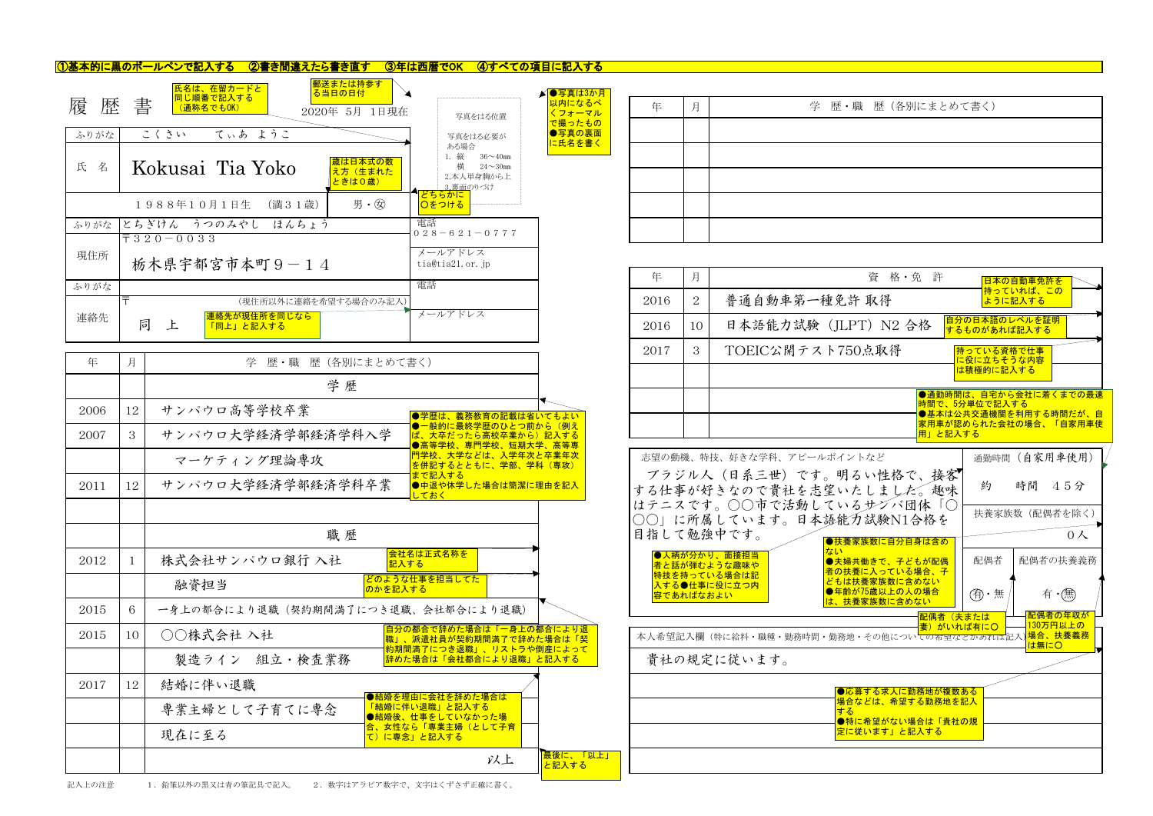| 年 | 月 | 学 歴 • 職 |
|---|---|---------|
|   |   |         |
|   |   |         |
|   |   |         |
|   |   |         |
|   |   |         |

|  | 学 歴·職 歴 (各別にまとめて書く) |  |
|--|---------------------|--|
|  |                     |  |
|  |                     |  |
|  |                     |  |
|  |                     |  |
|  |                     |  |

| 資格·免許                                                                                           | 日本の自動車免許を<br>持っていれば、この                                                                          |  |  |  |  |  |
|-------------------------------------------------------------------------------------------------|-------------------------------------------------------------------------------------------------|--|--|--|--|--|
| 重免許 取得                                                                                          | ように記入する                                                                                         |  |  |  |  |  |
| (JLPT) N2 合格                                                                                    | 自分の日本語のレベルを証明<br><u>するものがあれば記入する</u>                                                            |  |  |  |  |  |
| ト750点取得                                                                                         | 持っている資格で仕事<br>に役に立ちそうな内容<br>は積極的に記入する                                                           |  |  |  |  |  |
| 用」と記入する                                                                                         | ●通勤時間は、自宅から会社に着くまでの最速<br>時間で、5分単位で記入する<br>●基本は公共交通機関を利用する時間だが、自<br><u>家用車が認められた会社の場合、「自家用車使</u> |  |  |  |  |  |
| ポイントなど                                                                                          | 通勤時間 (自家用車使用)                                                                                   |  |  |  |  |  |
| 。明るい性格で、接客<br>望いたしました。 趣味                                                                       | 時間 45分<br>約                                                                                     |  |  |  |  |  |
| ているサブバ団体「○<br>語能力試験N1合格を                                                                        | 扶養家族数 (配偶者を除く)<br>0人                                                                            |  |  |  |  |  |
| ●扶養家族数に自分自身は含め<br>ない<br>●夫婦共働きで、子どもが配偶<br>者の扶養に入っている場合、子                                        | 配偶者<br>配偶者の扶養義務                                                                                 |  |  |  |  |  |
| どもは扶養家族数に含めない<br><b>●年齢が75歳以上の人の場合</b><br>は、扶養家族数に含めない                                          | 有·(無)<br>(有)・無                                                                                  |  |  |  |  |  |
| 配偶者(夫または<br><del>妻)がいれば有に〇</del><br>勤務地・その他につい <mark>ての布望などかあれば</mark> 記入) <mark>場合、扶養義務</mark> | 配偶者の年収が<br>130万円以上の<br>は無にO                                                                     |  |  |  |  |  |
| ●応募する求人に勤務地が複数ある<br><u>場合などは、希望する勤務地を記入</u><br>する<br>●特に希望がない場合は「貴社の規<br>定に従います」と記入する           |                                                                                                 |  |  |  |  |  |

| 履      | 郵送または持参す <br><mark>氏名は、在留カードと</mark><br>る当日の日付<br>同じ順番で記入する<br>歴 書<br>(通称名でもOK)<br>2020年 5月 1日現在 | ▶ ● 写真は3か月<br>以内になるべ<br>くフォーマル<br>写真をはる位置<br>で撮ったもの                                     |
|--------|--------------------------------------------------------------------------------------------------|-----------------------------------------------------------------------------------------|
| ふりがな   | てぃあ ようこ<br>こくさい                                                                                  | ●写真の裏面<br>写真をはる必要が<br>に氏名を書く                                                            |
| 氏<br>名 | 歳は日本式の数 <br>Kokusai Tia Yoko<br>え方(生まれた<br>ときはO歳)                                                | ある場合<br>1. 縦<br>$36 \sim 40$ mm<br>構<br>$24\sim30$ mm<br>2.本人単身胸から上<br><u>3.裏面の</u> りづけ |
|        | 男· 闵<br>(満 3 1 歳)<br>1988年10月1日生                                                                 | どちらかに<br>○をつける                                                                          |
| ふりがな   | とちぎけん うつのみやし ほんちょう                                                                               | 電話<br>$028 - 621 - 0777$                                                                |
| 現住所    | $\overline{7}$ 3 2 0 - 0 0 3 3<br>栃木県宇都宮市本町9-14                                                  | メールアドレス<br>tia@tia21.or.jp                                                              |
| ふりがな   |                                                                                                  | 電話                                                                                      |
| 連絡先    | $\overline{\tau}$<br>(現住所以外に連絡を希望する場合のみ記入)<br>連絡先が現住所を同じなら<br>同<br>上<br><u>「同上」と記入する</u>         | メールアドレス                                                                                 |

## ①基本的に黒のボールペンで記入する ②書き間違えたら書き直す ③年は西暦でOK ④すべての項目に記入する

| 年         | 月              | 資<br>格・免許                                                                              | 日本の自動車免許を                                     |
|-----------|----------------|----------------------------------------------------------------------------------------|-----------------------------------------------|
| 2016      | $\overline{2}$ | 普通自動車第一種免許 取得                                                                          | <mark> 持っていれば、この</mark><br>ように記入する            |
| 2016      | 10             | 日本語能力試験 (JLPT) N2 合格                                                                   | 自分の日本語のレベルを証明<br>するものがあれば記入する                 |
| 2017      | 3              | TOEIC公開テスト750点取得                                                                       | 持っている資格で仕事<br>に役に立ちそうな内容                      |
|           |                |                                                                                        | は積極的に記入する                                     |
|           |                |                                                                                        | ●通勤時間は、自宅から会社に着くまでの最<br>時間で、5分単位で記入する         |
|           |                | 用」と記入する                                                                                | ●基本は公共交通機関を利用する時間だが、<br>家用車が認められた会社の場合、「自家用車例 |
|           |                | 志望の動機、特技、好きな学科、アピールポイントなど                                                              | 通勤時間 (自家用車使用)                                 |
|           |                | ブラジル人(日系三世)です。明るい性格で、接客<br>する仕事が好きなので貴社を志望いたしました。趣味                                    | 時間 45分<br>約                                   |
|           |                | はテニスです。○○市で活動しているサンバ団体「○<br>○○」に所属しています。日本語能力試験N1合格を                                   | 扶養家族数 (配偶者を除く)                                |
|           |                | 目指して勉強中です。<br>●扶養家族数に自分自身は含め                                                           | 0 <sub>A</sub>                                |
|           |                | ない<br>●人柄が分かり、面接担当<br>●夫婦共働きで、子どもが配偶<br>者と話が弾むような趣味や<br>者の扶養に入っている場合、子<br>特技を持っている場合は記 | 配偶者<br>配偶者の扶養義務                               |
| 容であればなおよい |                | どもは扶養家族数に含めない<br>入する●仕事に役に立つ内<br>●年齢が75歳以上の人の場合<br>は、扶養家族数に含めない                        | (有)・無<br>有 •(無)                               |
|           |                | 配偶者(夫または<br>妻)がいれば有にO                                                                  | 配偶者の年収が<br>130万円以上の                           |
|           |                | 本人希望記入欄(特に給料・職種・勤務時間・勤務地・その他につい <mark>ての希望などかあれば</mark> 記入) <mark>場合、扶養義務</mark>       | は無にO                                          |
|           |                | 貴社の規定に従います。                                                                            |                                               |
|           |                | ●応募する求人に勤務地が複数ある                                                                       |                                               |
|           |                | 場合などは、希望する勤務地を記入<br>する                                                                 |                                               |
|           |                | ●特に希望がない場合は「貴社の規<br>定に従います」と記入する                                                       |                                               |

|      |    |                                    |                                                                                             |                   | 2017       |           |                              | TOEIC公開テスト750点取得                                                  |               | 持っている資格で仕事                           |                                              |
|------|----|------------------------------------|---------------------------------------------------------------------------------------------|-------------------|------------|-----------|------------------------------|-------------------------------------------------------------------|---------------|--------------------------------------|----------------------------------------------|
| 年    | 月  | 学歴・職                               | 歴(各別にまとめて書く)                                                                                |                   |            |           |                              |                                                                   |               | <mark>に役に立ちそうな内容</mark><br>は積極的に記入する |                                              |
|      |    | 学歴                                 |                                                                                             |                   |            |           |                              |                                                                   |               |                                      | ●通勤時間は、自宅から会社に着くまでの最                         |
| 2006 | 12 | サンパウロ高等学校卒業                        | ●学歴は、義務教育の記載は省いてもよい                                                                         |                   |            |           |                              |                                                                   | 時間で、5分単位で記入する |                                      | ●基本は公共交通機関を利用する時間だが、<br>家用車が認められた会社の場合、「自家用車 |
| 2007 | 3  | サンパウロ大学経済学部経済学科入学                  | │●一般的に最終学歴のひとつ前から(例え<br>ば、大卒だったら高校卒業から)記入する<br>●高等学校、専門学校、短期大学、高等専                          |                   |            |           |                              |                                                                   | 用」と記入する       |                                      |                                              |
|      |    | マーケティング理論専攻                        | 門学校、大学などは、入学年次と卒業年次<br>を併記するとともに、学部、学科(専攻)                                                  |                   |            |           | 志望の動機、特技、好きな学科、アピールポイントなど    |                                                                   |               |                                      | 通勤時間 (自家用車使用)                                |
| 2011 | 12 | サンパウロ大学経済学部経済学科卒業                  | まで記入する<br>●中退や休学した場合は簡潔に理由を記入<br>しておく                                                       |                   |            |           |                              | ブラジル人(日系三世)です。明るい性格で、接客<br>する仕事が好きなので貴社を志望いたしました。趣味               |               | 約                                    | 時間 45分                                       |
|      |    |                                    |                                                                                             |                   |            |           |                              | はテニスです。○○市で活動しているサンバ団体「○<br>○○」に所属しています。日本語能力試験N1合格を              |               |                                      | 扶養家族数 (配偶者を除く)                               |
|      |    | 職歴                                 |                                                                                             |                   | 目指して勉強中です。 |           |                              | ●扶養家族数に自分自身は含め                                                    |               |                                      | 0 <sup>2</sup>                               |
| 2012 |    | 株式会社サンパウロ銀行 入社                     | 会社名は正式名称を<br> 記入する                                                                          |                   |            |           | ●人柄が分かり、面接担当<br>者と話が弾むような趣味や | ●夫婦共働きで、子どもが配偶<br>者の扶養に入っている場合、子                                  |               | 配偶者                                  | 配偶者の扶養義務                                     |
|      |    | 融資担当                               | どのような仕事を担当してた<br>のかを記入する                                                                    |                   |            | 容であればなおよい | 特技を持っている場合は記<br>入する●仕事に役に立つ内 | どもは扶養家族数に含めない<br>●年齢が75歳以上の人の場合                                   |               | (有・無                                 | 有 •(無)                                       |
| 2015 | 6  | 一身上の都合により退職(契約期間満了につき退職、会社都合により退職) |                                                                                             |                   |            |           |                              | は、扶養家族数に含めない                                                      | 配偶者(夫または      |                                      | 配偶者の年収が                                      |
| 2015 | 10 | ○○株式会社入社                           | 自分の都合で辞めた場合は「一身上の都合により退<br>職」、派遣社員が契約期間満了で辞めた場合は「契<br><mark> 約期間満了につき退職」、リストラや倒産によって</mark> |                   |            |           |                              | 本人希望記入欄(特に給料・職種・勤務時間・勤務地・その他についての希望などかあれば記入) <mark>場合、扶養義務</mark> | ま) がいれば有にO    |                                      | 130万円以上の<br>は無にO                             |
|      |    | 製造ライン 組立・検査業務                      | おめた場合は「会社都合により退職」と記入する                                                                      |                   |            |           | 貴社の規定に従います。                  |                                                                   |               |                                      |                                              |
| 2017 | 12 | 結婚に伴い退職                            | ●結婚を理由に会社を辞めた場合は                                                                            |                   |            |           |                              | ●応募する求人に勤務地が複数ある                                                  |               |                                      |                                              |
|      |    | 専業主婦として子育てに専念                      | 「結婚に伴い退職」と記入する<br>●結婚後、仕事をしていなかった場                                                          |                   |            |           |                              | 場合などは、希望する勤務地を記入<br>●特に希望がない場合は「貴社の規                              |               |                                      |                                              |
|      |    | 現在に至る                              | 合、女性なら「専業主婦(として子育<br>て)に専念」と記入する                                                            |                   |            |           |                              | 足に従います」と記入する                                                      |               |                                      |                                              |
|      |    |                                    | 以上                                                                                          | 最後に、「以上」<br>と記入する |            |           |                              |                                                                   |               |                                      |                                              |